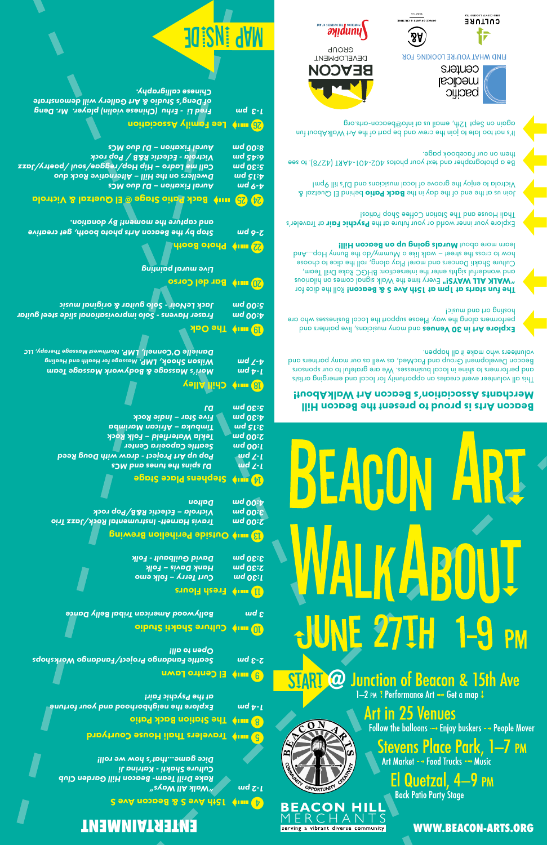**WWW.BEACON-ARTS.ORG**

#### Beacon Arts is proud to present the Beacon Hill Merchants Association's Beacon Art WalkAbout!

This all volunteer event creates an opportunity for local and emerging artists and performers to shine in local businesses. We are grateful to our sponsors Beacon Development Group and PacMed, as well as our many partners and volunteers who make it all happen.

**Explore Art in 30 Venues** and many musicians, live painters and performers along the way. Please support the Local Businesses who are hosting art and music!

The fun starts at 1 pm at 15th Ave S & Beacon! Roll the dice for **WALK ALL WAYS!"** Every time the Walk signal comes on hilarious and wonderful sights enter the intersection: BHGC Rake Drill Team, Culture Shakti Dancers and more! Play along, roll the dice to choose how to cross the street – walk like a Mummy/do the Bunny Hop…And learn more about Murals going up on Beacon Hill!

Explore your inner world or your future at the Psychic Fair at Traveler's Thali House and The Station Coffee Shop Patios!

behind El Quetzal & Back Patio Pehind El Quetzal & Victrola to enjoy the groove of local musicians and DJ's till 9pm!

Be a photographer and text your photos  $402-401-4A81$  (4278). to see them on our Facebook page.

It's not too late to join the crew and be part of the Art WalkAbout fun again on Sept 12th, email us at info@beacon-arts.org







**FIND WHAT YOU'RE LOOKING FOR** 

Centers medical pacific





## **ENTERTAINMENT**

#### **24 Turk Ave S & Beacon Ave S**

*"Walk All Ways" 1-2 pm Rake Drill Team- Beacon Hill Garden Club Culture Shakti - Katrina Ji Dice game...that's how we roll!* 

**Unity Travelers Thali House Courtyard** 

**S** une Station Back Patio

*Explore the neighborhood and your fortune 1-4 pm at the Psychic Fair!* 

**B** imp El Centro Lawn

*Seattle Fandango Project/Fandango Workshops 2-3 pm Open to all!* 

**Culture Shakti Studio** qubut

serving a vibrant diverse community

**BEACON HILL**  $RCHAN$ 

 $\Omega_N$ 

Stevens Place Park, 1—7 pm Art Market - Food Trucks - Music El Quetzal, 4-9 PM **Back Patio Party Stage** 

**Art in 25 Venues** Follow the balloons - Enjoy buskers - People Mover

1-2 PM # Performance Art - Get a map !

**START @ Junction of Beacon & 15th Ave** 

<u>JUNE 27TH 1-9 PM</u>

*Bollywood American Tribal Belly Dance 3 pm*

**Fresh Flours** wind

*Curt Terry – folk emo 1:30 pm Hank Davis – Folk 2:30 pm David Guilbault - Folk 3:30 pm*

Outside Perihelion Brewing r

*Travis Harnett- Instrumental Rock/Jazz Trio 2:00 pm Victrola – Eclectic R&B/Pop rock 3:00 pm Dalton 4:00 pm*

#### **Stephens Stage Stage**

 *DJ spins the tunes and MCs 1-7 pm Pop up Art Project - draw with Doug Reed 1-7 pm Seattle Capoeira Center 1:00 pm Tekla Waterfield – Folk Rock 2:00 pm Timbuka – African Marimba 3:15 pm Five Star – Indie Rock 4:30 pm DJ 5:30 pm*

### Chill Alley o

*Mori's Massage & Bodywork Massage Team 1-4 pm Massage for Health and Healing Wilson Shook, LMP. 4-7 pm Northwest Massage Therapy, LLC Danielle O'Connell, LMP.* 

#### **The Oak**

*Fraser Havens - Solo improvisational slide steel guitar 4:00 pm Jack LeNoir - Solo guitar & original music 5:00 pm*

#### Bar del Corso a

*Live mural painting* 

Photo Booth <sup>d</sup> *Stop by the Beacon Arts photo booth, get creative 2-6 pm and capture the moment! By donation.* 

#### $\mathcal{B}$  Back Patio Stage @ El Quetzal & Victrola

*Aural Fixation – DJ duo MCs 4-9 pm Dwellers on the Hill – Alternative Rock duo 4:15 pm Call me Ladro – Hip Hop/reggae/soul /poetry/Jazz 5:30 pm Victrola - Eclectic R&B / Pop rock 6:45 pm Aural Fixation – DJ duo MCs 8:00 pm*

#### 26 uur) Lee Family Association

*Fred Li - Erhu (Chinese violin) player. Mr. Deng 1-3 pm of Deng's Studio & Art Gallery will demonstrate Chinese calligraphy.*



# BEACL R F F L G